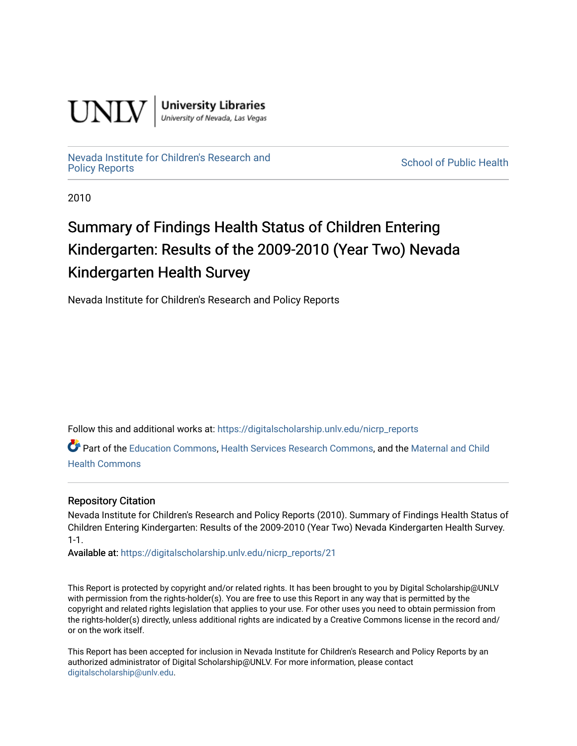

**University Libraries**<br>University of Nevada, Las Vegas

## [Nevada Institute for Children's Research and](https://digitalscholarship.unlv.edu/nicrp_reports)

**School of Public Health** 

2010

### Summary of Findings Health Status of Children Entering Kindergarten: Results of the 2009-2010 (Year Two) Nevada Kindergarten Health Survey

Nevada Institute for Children's Research and Policy Reports

Follow this and additional works at: [https://digitalscholarship.unlv.edu/nicrp\\_reports](https://digitalscholarship.unlv.edu/nicrp_reports?utm_source=digitalscholarship.unlv.edu%2Fnicrp_reports%2F21&utm_medium=PDF&utm_campaign=PDFCoverPages)

Part of the [Education Commons](http://network.bepress.com/hgg/discipline/784?utm_source=digitalscholarship.unlv.edu%2Fnicrp_reports%2F21&utm_medium=PDF&utm_campaign=PDFCoverPages), [Health Services Research Commons](http://network.bepress.com/hgg/discipline/816?utm_source=digitalscholarship.unlv.edu%2Fnicrp_reports%2F21&utm_medium=PDF&utm_campaign=PDFCoverPages), and the Maternal and Child [Health Commons](http://network.bepress.com/hgg/discipline/745?utm_source=digitalscholarship.unlv.edu%2Fnicrp_reports%2F21&utm_medium=PDF&utm_campaign=PDFCoverPages) 

#### Repository Citation

Nevada Institute for Children's Research and Policy Reports (2010). Summary of Findings Health Status of Children Entering Kindergarten: Results of the 2009-2010 (Year Two) Nevada Kindergarten Health Survey. 1-1.

Available at: [https://digitalscholarship.unlv.edu/nicrp\\_reports/21](https://digitalscholarship.unlv.edu/nicrp_reports/21) 

This Report is protected by copyright and/or related rights. It has been brought to you by Digital Scholarship@UNLV with permission from the rights-holder(s). You are free to use this Report in any way that is permitted by the copyright and related rights legislation that applies to your use. For other uses you need to obtain permission from the rights-holder(s) directly, unless additional rights are indicated by a Creative Commons license in the record and/ or on the work itself.

This Report has been accepted for inclusion in Nevada Institute for Children's Research and Policy Reports by an authorized administrator of Digital Scholarship@UNLV. For more information, please contact [digitalscholarship@unlv.edu](mailto:digitalscholarship@unlv.edu).